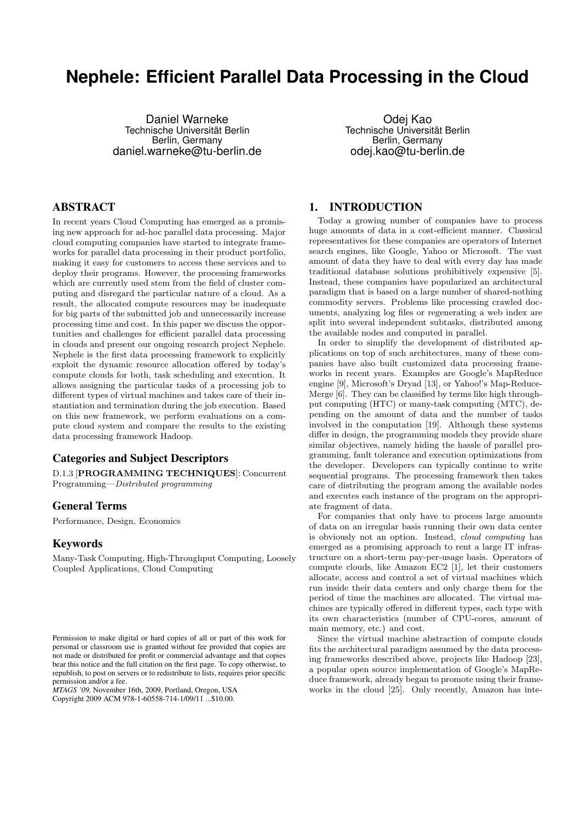# **Nephele: Efficient Parallel Data Processing in the Cloud**

Daniel Warneke Technische Universität Berlin Berlin, Germany daniel.warneke@tu-berlin.de

Odej Kao Technische Universität Berlin Berlin, Germany odej.kao@tu-berlin.de

# ABSTRACT

In recent years Cloud Computing has emerged as a promising new approach for ad-hoc parallel data processing. Major cloud computing companies have started to integrate frameworks for parallel data processing in their product portfolio, making it easy for customers to access these services and to deploy their programs. However, the processing frameworks which are currently used stem from the field of cluster computing and disregard the particular nature of a cloud. As a result, the allocated compute resources may be inadequate for big parts of the submitted job and unnecessarily increase processing time and cost. In this paper we discuss the opportunities and challenges for efficient parallel data processing in clouds and present our ongoing research project Nephele. Nephele is the first data processing framework to explicitly exploit the dynamic resource allocation offered by today's compute clouds for both, task scheduling and execution. It allows assigning the particular tasks of a processing job to different types of virtual machines and takes care of their instantiation and termination during the job execution. Based on this new framework, we perform evaluations on a compute cloud system and compare the results to the existing data processing framework Hadoop.

# Categories and Subject Descriptors

D.1.3 [PROGRAMMING TECHNIQUES]: Concurrent Programming—Distributed programming

## General Terms

Performance, Design, Economics

#### Keywords

Many-Task Computing, High-Throughput Computing, Loosely Coupled Applications, Cloud Computing

*MTAGS '09,* November 16th, 2009, Portland, Oregon, USA Copyright 2009 ACM 978-1-60558-714-1/09/11 ...\$10.00.

## 1. INTRODUCTION

Today a growing number of companies have to process huge amounts of data in a cost-efficient manner. Classical representatives for these companies are operators of Internet search engines, like Google, Yahoo or Microsoft. The vast amount of data they have to deal with every day has made traditional database solutions prohibitively expensive [5]. Instead, these companies have popularized an architectural paradigm that is based on a large number of shared-nothing commodity servers. Problems like processing crawled documents, analyzing log files or regenerating a web index are split into several independent subtasks, distributed among the available nodes and computed in parallel.

In order to simplify the development of distributed applications on top of such architectures, many of these companies have also built customized data processing frameworks in recent years. Examples are Google's MapReduce engine [9], Microsoft's Dryad [13], or Yahoo!'s Map-Reduce-Merge [6]. They can be classified by terms like high throughput computing (HTC) or many-task computing (MTC), depending on the amount of data and the number of tasks involved in the computation [19]. Although these systems differ in design, the programming models they provide share similar objectives, namely hiding the hassle of parallel programming, fault tolerance and execution optimizations from the developer. Developers can typically continue to write sequential programs. The processing framework then takes care of distributing the program among the available nodes and executes each instance of the program on the appropriate fragment of data.

For companies that only have to process large amounts of data on an irregular basis running their own data center is obviously not an option. Instead, cloud computing has emerged as a promising approach to rent a large IT infrastructure on a short-term pay-per-usage basis. Operators of compute clouds, like Amazon EC2 [1], let their customers allocate, access and control a set of virtual machines which run inside their data centers and only charge them for the period of time the machines are allocated. The virtual machines are typically offered in different types, each type with its own characteristics (number of CPU-cores, amount of main memory, etc.) and cost.

Since the virtual machine abstraction of compute clouds fits the architectural paradigm assumed by the data processing frameworks described above, projects like Hadoop [23], a popular open source implementation of Google's MapReduce framework, already began to promote using their frameworks in the cloud [25]. Only recently, Amazon has inte-

Permission to make digital or hard copies of all or part of this work for personal or classroom use is granted without fee provided that copies are not made or distributed for profit or commercial advantage and that copies bear this notice and the full citation on the first page. To copy otherwise, to republish, to post on servers or to redistribute to lists, requires prior specific permission and/or a fee.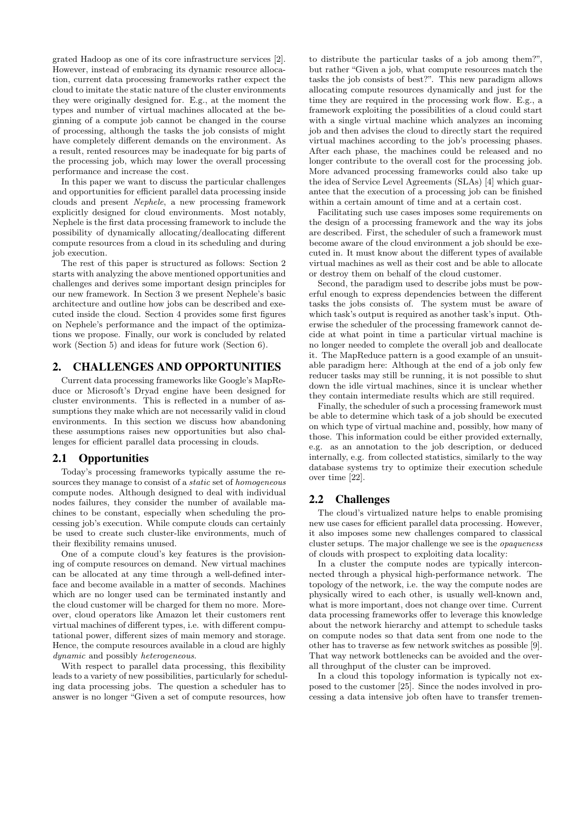grated Hadoop as one of its core infrastructure services [2]. However, instead of embracing its dynamic resource allocation, current data processing frameworks rather expect the cloud to imitate the static nature of the cluster environments they were originally designed for. E.g., at the moment the types and number of virtual machines allocated at the beginning of a compute job cannot be changed in the course of processing, although the tasks the job consists of might have completely different demands on the environment. As a result, rented resources may be inadequate for big parts of the processing job, which may lower the overall processing performance and increase the cost.

In this paper we want to discuss the particular challenges and opportunities for efficient parallel data processing inside clouds and present Nephele, a new processing framework explicitly designed for cloud environments. Most notably, Nephele is the first data processing framework to include the possibility of dynamically allocating/deallocating different compute resources from a cloud in its scheduling and during job execution.

The rest of this paper is structured as follows: Section 2 starts with analyzing the above mentioned opportunities and challenges and derives some important design principles for our new framework. In Section 3 we present Nephele's basic architecture and outline how jobs can be described and executed inside the cloud. Section 4 provides some first figures on Nephele's performance and the impact of the optimizations we propose. Finally, our work is concluded by related work (Section 5) and ideas for future work (Section 6).

# 2. CHALLENGES AND OPPORTUNITIES

Current data processing frameworks like Google's MapReduce or Microsoft's Dryad engine have been designed for cluster environments. This is reflected in a number of assumptions they make which are not necessarily valid in cloud environments. In this section we discuss how abandoning these assumptions raises new opportunities but also challenges for efficient parallel data processing in clouds.

# 2.1 Opportunities

Today's processing frameworks typically assume the resources they manage to consist of a *static* set of *homogeneous* compute nodes. Although designed to deal with individual nodes failures, they consider the number of available machines to be constant, especially when scheduling the processing job's execution. While compute clouds can certainly be used to create such cluster-like environments, much of their flexibility remains unused.

One of a compute cloud's key features is the provisioning of compute resources on demand. New virtual machines can be allocated at any time through a well-defined interface and become available in a matter of seconds. Machines which are no longer used can be terminated instantly and the cloud customer will be charged for them no more. Moreover, cloud operators like Amazon let their customers rent virtual machines of different types, i.e. with different computational power, different sizes of main memory and storage. Hence, the compute resources available in a cloud are highly dynamic and possibly heterogeneous.

With respect to parallel data processing, this flexibility leads to a variety of new possibilities, particularly for scheduling data processing jobs. The question a scheduler has to answer is no longer "Given a set of compute resources, how

to distribute the particular tasks of a job among them?", but rather "Given a job, what compute resources match the tasks the job consists of best?". This new paradigm allows allocating compute resources dynamically and just for the time they are required in the processing work flow. E.g., a framework exploiting the possibilities of a cloud could start with a single virtual machine which analyzes an incoming job and then advises the cloud to directly start the required virtual machines according to the job's processing phases. After each phase, the machines could be released and no longer contribute to the overall cost for the processing job. More advanced processing frameworks could also take up the idea of Service Level Agreements (SLAs) [4] which guarantee that the execution of a processing job can be finished within a certain amount of time and at a certain cost.

Facilitating such use cases imposes some requirements on the design of a processing framework and the way its jobs are described. First, the scheduler of such a framework must become aware of the cloud environment a job should be executed in. It must know about the different types of available virtual machines as well as their cost and be able to allocate or destroy them on behalf of the cloud customer.

Second, the paradigm used to describe jobs must be powerful enough to express dependencies between the different tasks the jobs consists of. The system must be aware of which task's output is required as another task's input. Otherwise the scheduler of the processing framework cannot decide at what point in time a particular virtual machine is no longer needed to complete the overall job and deallocate it. The MapReduce pattern is a good example of an unsuitable paradigm here: Although at the end of a job only few reducer tasks may still be running, it is not possible to shut down the idle virtual machines, since it is unclear whether they contain intermediate results which are still required.

Finally, the scheduler of such a processing framework must be able to determine which task of a job should be executed on which type of virtual machine and, possibly, how many of those. This information could be either provided externally, e.g. as an annotation to the job description, or deduced internally, e.g. from collected statistics, similarly to the way database systems try to optimize their execution schedule over time [22].

# 2.2 Challenges

The cloud's virtualized nature helps to enable promising new use cases for efficient parallel data processing. However, it also imposes some new challenges compared to classical cluster setups. The major challenge we see is the opaqueness of clouds with prospect to exploiting data locality:

In a cluster the compute nodes are typically interconnected through a physical high-performance network. The topology of the network, i.e. the way the compute nodes are physically wired to each other, is usually well-known and, what is more important, does not change over time. Current data processing frameworks offer to leverage this knowledge about the network hierarchy and attempt to schedule tasks on compute nodes so that data sent from one node to the other has to traverse as few network switches as possible [9]. That way network bottlenecks can be avoided and the overall throughput of the cluster can be improved.

In a cloud this topology information is typically not exposed to the customer [25]. Since the nodes involved in processing a data intensive job often have to transfer tremen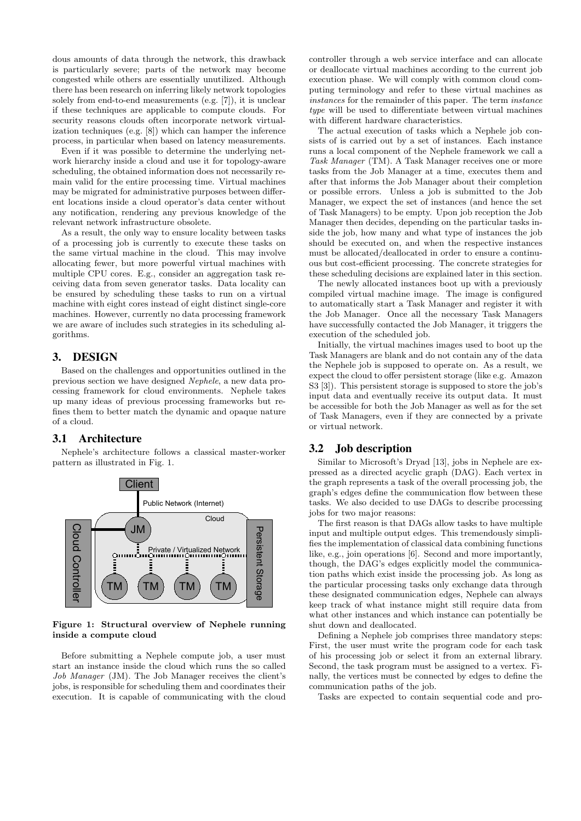dous amounts of data through the network, this drawback is particularly severe; parts of the network may become congested while others are essentially unutilized. Although there has been research on inferring likely network topologies solely from end-to-end measurements (e.g. [7]), it is unclear if these techniques are applicable to compute clouds. For security reasons clouds often incorporate network virtualization techniques (e.g. [8]) which can hamper the inference process, in particular when based on latency measurements.

Even if it was possible to determine the underlying network hierarchy inside a cloud and use it for topology-aware scheduling, the obtained information does not necessarily remain valid for the entire processing time. Virtual machines may be migrated for administrative purposes between different locations inside a cloud operator's data center without any notification, rendering any previous knowledge of the relevant network infrastructure obsolete.

As a result, the only way to ensure locality between tasks of a processing job is currently to execute these tasks on the same virtual machine in the cloud. This may involve allocating fewer, but more powerful virtual machines with multiple CPU cores. E.g., consider an aggregation task receiving data from seven generator tasks. Data locality can be ensured by scheduling these tasks to run on a virtual machine with eight cores instead of eight distinct single-core machines. However, currently no data processing framework we are aware of includes such strategies in its scheduling algorithms.

# 3. DESIGN

Based on the challenges and opportunities outlined in the previous section we have designed Nephele, a new data processing framework for cloud environments. Nephele takes up many ideas of previous processing frameworks but refines them to better match the dynamic and opaque nature of a cloud.

#### 3.1 Architecture

Nephele's architecture follows a classical master-worker pattern as illustrated in Fig. 1.



#### Figure 1: Structural overview of Nephele running inside a compute cloud

Before submitting a Nephele compute job, a user must start an instance inside the cloud which runs the so called Job Manager (JM). The Job Manager receives the client's jobs, is responsible for scheduling them and coordinates their execution. It is capable of communicating with the cloud

controller through a web service interface and can allocate or deallocate virtual machines according to the current job execution phase. We will comply with common cloud computing terminology and refer to these virtual machines as instances for the remainder of this paper. The term instance type will be used to differentiate between virtual machines with different hardware characteristics.

The actual execution of tasks which a Nephele job consists of is carried out by a set of instances. Each instance runs a local component of the Nephele framework we call a Task Manager (TM). A Task Manager receives one or more tasks from the Job Manager at a time, executes them and after that informs the Job Manager about their completion or possible errors. Unless a job is submitted to the Job Manager, we expect the set of instances (and hence the set of Task Managers) to be empty. Upon job reception the Job Manager then decides, depending on the particular tasks inside the job, how many and what type of instances the job should be executed on, and when the respective instances must be allocated/deallocated in order to ensure a continuous but cost-efficient processing. The concrete strategies for these scheduling decisions are explained later in this section.

The newly allocated instances boot up with a previously compiled virtual machine image. The image is configured to automatically start a Task Manager and register it with the Job Manager. Once all the necessary Task Managers have successfully contacted the Job Manager, it triggers the execution of the scheduled job.

Initially, the virtual machines images used to boot up the Task Managers are blank and do not contain any of the data the Nephele job is supposed to operate on. As a result, we expect the cloud to offer persistent storage (like e.g. Amazon S3 [3]). This persistent storage is supposed to store the job's input data and eventually receive its output data. It must be accessible for both the Job Manager as well as for the set of Task Managers, even if they are connected by a private or virtual network.

## 3.2 Job description

Similar to Microsoft's Dryad [13], jobs in Nephele are expressed as a directed acyclic graph (DAG). Each vertex in the graph represents a task of the overall processing job, the graph's edges define the communication flow between these tasks. We also decided to use DAGs to describe processing jobs for two major reasons:

The first reason is that DAGs allow tasks to have multiple input and multiple output edges. This tremendously simplifies the implementation of classical data combining functions like, e.g., join operations [6]. Second and more importantly, though, the DAG's edges explicitly model the communication paths which exist inside the processing job. As long as the particular processing tasks only exchange data through these designated communication edges, Nephele can always keep track of what instance might still require data from what other instances and which instance can potentially be shut down and deallocated.

Defining a Nephele job comprises three mandatory steps: First, the user must write the program code for each task of his processing job or select it from an external library. Second, the task program must be assigned to a vertex. Finally, the vertices must be connected by edges to define the communication paths of the job.

Tasks are expected to contain sequential code and pro-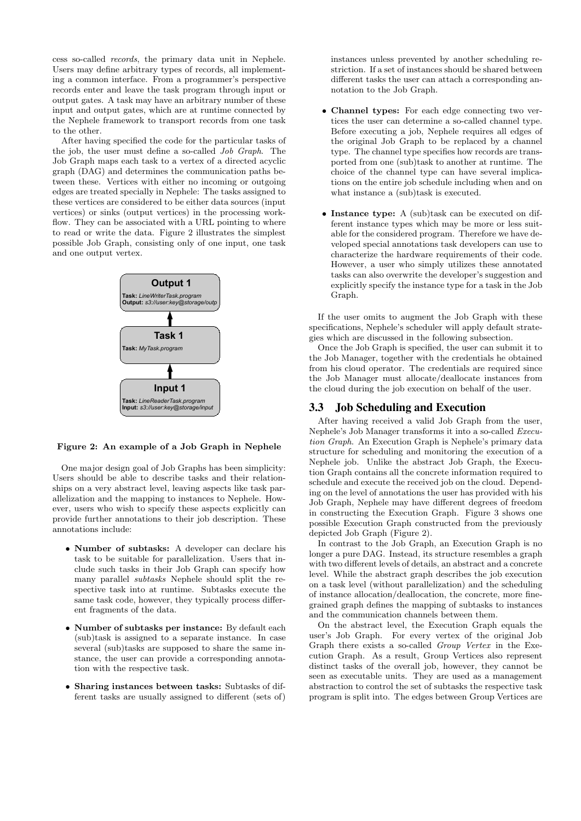cess so-called records, the primary data unit in Nephele. Users may define arbitrary types of records, all implementing a common interface. From a programmer's perspective records enter and leave the task program through input or output gates. A task may have an arbitrary number of these input and output gates, which are at runtime connected by the Nephele framework to transport records from one task to the other.

After having specified the code for the particular tasks of the job, the user must define a so-called Job Graph. The Job Graph maps each task to a vertex of a directed acyclic graph (DAG) and determines the communication paths between these. Vertices with either no incoming or outgoing edges are treated specially in Nephele: The tasks assigned to these vertices are considered to be either data sources (input vertices) or sinks (output vertices) in the processing workflow. They can be associated with a URL pointing to where to read or write the data. Figure 2 illustrates the simplest possible Job Graph, consisting only of one input, one task and one output vertex.



#### Figure 2: An example of a Job Graph in Nephele

One major design goal of Job Graphs has been simplicity: Users should be able to describe tasks and their relationships on a very abstract level, leaving aspects like task parallelization and the mapping to instances to Nephele. However, users who wish to specify these aspects explicitly can provide further annotations to their job description. These annotations include:

- Number of subtasks: A developer can declare his task to be suitable for parallelization. Users that include such tasks in their Job Graph can specify how many parallel subtasks Nephele should split the respective task into at runtime. Subtasks execute the same task code, however, they typically process different fragments of the data.
- Number of subtasks per instance: By default each (sub)task is assigned to a separate instance. In case several (sub)tasks are supposed to share the same instance, the user can provide a corresponding annotation with the respective task.
- Sharing instances between tasks: Subtasks of different tasks are usually assigned to different (sets of)

instances unless prevented by another scheduling restriction. If a set of instances should be shared between different tasks the user can attach a corresponding annotation to the Job Graph.

- Channel types: For each edge connecting two vertices the user can determine a so-called channel type. Before executing a job, Nephele requires all edges of the original Job Graph to be replaced by a channel type. The channel type specifies how records are transported from one (sub)task to another at runtime. The choice of the channel type can have several implications on the entire job schedule including when and on what instance a (sub)task is executed.
- Instance type: A (sub)task can be executed on different instance types which may be more or less suitable for the considered program. Therefore we have developed special annotations task developers can use to characterize the hardware requirements of their code. However, a user who simply utilizes these annotated tasks can also overwrite the developer's suggestion and explicitly specify the instance type for a task in the Job Graph.

If the user omits to augment the Job Graph with these specifications, Nephele's scheduler will apply default strategies which are discussed in the following subsection.

Once the Job Graph is specified, the user can submit it to the Job Manager, together with the credentials he obtained from his cloud operator. The credentials are required since the Job Manager must allocate/deallocate instances from the cloud during the job execution on behalf of the user.

#### 3.3 Job Scheduling and Execution

After having received a valid Job Graph from the user, Nephele's Job Manager transforms it into a so-called Execution Graph. An Execution Graph is Nephele's primary data structure for scheduling and monitoring the execution of a Nephele job. Unlike the abstract Job Graph, the Execution Graph contains all the concrete information required to schedule and execute the received job on the cloud. Depending on the level of annotations the user has provided with his Job Graph, Nephele may have different degrees of freedom in constructing the Execution Graph. Figure 3 shows one possible Execution Graph constructed from the previously depicted Job Graph (Figure 2).

In contrast to the Job Graph, an Execution Graph is no longer a pure DAG. Instead, its structure resembles a graph with two different levels of details, an abstract and a concrete level. While the abstract graph describes the job execution on a task level (without parallelization) and the scheduling of instance allocation/deallocation, the concrete, more finegrained graph defines the mapping of subtasks to instances and the communication channels between them.

On the abstract level, the Execution Graph equals the user's Job Graph. For every vertex of the original Job Graph there exists a so-called Group Vertex in the Execution Graph. As a result, Group Vertices also represent distinct tasks of the overall job, however, they cannot be seen as executable units. They are used as a management abstraction to control the set of subtasks the respective task program is split into. The edges between Group Vertices are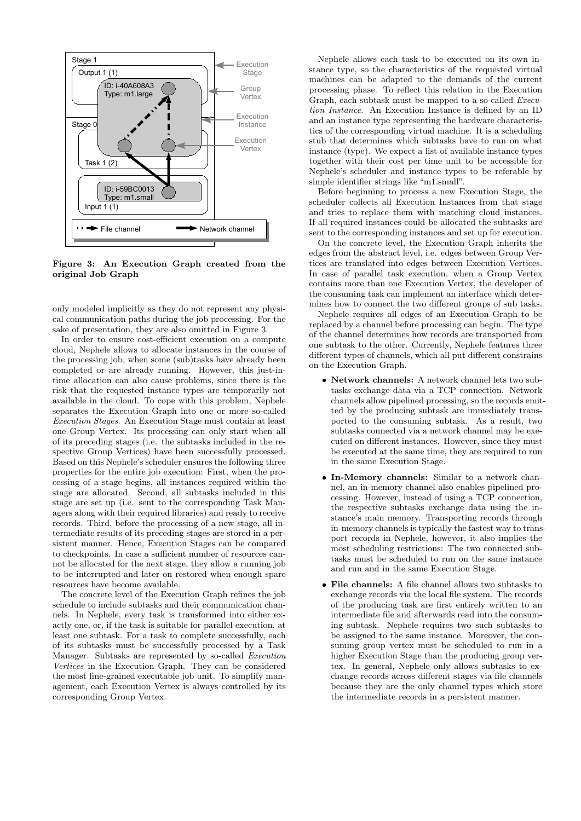

Figure 3: An Execution Graph created from the original Job Graph

only modeled implicitly as they do not represent any physical communication paths during the job processing. For the sake of presentation, they are also omitted in Figure 3.

In order to ensure cost-efficient execution on a compute cloud, Nephele allows to allocate instances in the course of the processing job, when some (sub)tasks have already been completed or are already running. However, this just-intime allocation can also cause problems, since there is the risk that the requested instance types are temporarily not available in the cloud. To cope with this problem, Nephele separates the Execution Graph into one or more so-called Execution Stages. An Execution Stage must contain at least one Group Vertex. Its processing can only start when all of its preceding stages (i.e. the subtasks included in the respective Group Vertices) have been successfully processed. Based on this Nephele's scheduler ensures the following three properties for the entire job execution: First, when the processing of a stage begins, all instances required within the stage are allocated. Second, all subtasks included in this stage are set up (i.e. sent to the corresponding Task Managers along with their required libraries) and ready to receive records. Third, before the processing of a new stage, all intermediate results of its preceding stages are stored in a persistent manner. Hence, Execution Stages can be compared to checkpoints. In case a sufficient number of resources cannot be allocated for the next stage, they allow a running job to be interrupted and later on restored when enough spare resources have become available.

The concrete level of the Execution Graph refines the job schedule to include subtasks and their communication channels. In Nephele, every task is transformed into either exactly one, or, if the task is suitable for parallel execution, at least one subtask. For a task to complete successfully, each of its subtasks must be successfully processed by a Task Manager. Subtasks are represented by so-called Execution Vertices in the Execution Graph. They can be considered the most fine-grained executable job unit. To simplify management, each Execution Vertex is always controlled by its corresponding Group Vertex.

Nephele allows each task to be executed on its own instance type, so the characteristics of the requested virtual machines can be adapted to the demands of the current processing phase. To reflect this relation in the Execution Graph, each subtask must be mapped to a so-called Execution Instance. An Execution Instance is defined by an ID and an instance type representing the hardware characteristics of the corresponding virtual machine. It is a scheduling stub that determines which subtasks have to run on what instance (type). We expect a list of available instance types together with their cost per time unit to be accessible for Nephele's scheduler and instance types to be referable by simple identifier strings like "m1.small".

Before beginning to process a new Execution Stage, the scheduler collects all Execution Instances from that stage and tries to replace them with matching cloud instances. If all required instances could be allocated the subtasks are sent to the corresponding instances and set up for execution.

On the concrete level, the Execution Graph inherits the edges from the abstract level, i.e. edges between Group Vertices are translated into edges between Execution Vertices. In case of parallel task execution, when a Group Vertex contains more than one Execution Vertex, the developer of the consuming task can implement an interface which determines how to connect the two different groups of sub tasks.

Nephele requires all edges of an Execution Graph to be replaced by a channel before processing can begin. The type of the channel determines how records are transported from one subtask to the other. Currently, Nephele features three different types of channels, which all put different constrains on the Execution Graph.

- Network channels: A network channel lets two subtasks exchange data via a TCP connection. Network channels allow pipelined processing, so the records emitted by the producing subtask are immediately transported to the consuming subtask. As a result, two subtasks connected via a network channel may be executed on different instances. However, since they must be executed at the same time, they are required to run in the same Execution Stage.
- In-Memory channels: Similar to a network channel, an in-memory channel also enables pipelined processing. However, instead of using a TCP connection, the respective subtasks exchange data using the instance's main memory. Transporting records through in-memory channels is typically the fastest way to transport records in Nephele, however, it also implies the most scheduling restrictions: The two connected subtasks must be scheduled to run on the same instance and run and in the same Execution Stage.
- File channels: A file channel allows two subtasks to exchange records via the local file system. The records of the producing task are first entirely written to an intermediate file and afterwards read into the consuming subtask. Nephele requires two such subtasks to be assigned to the same instance. Moreover, the consuming group vertex must be scheduled to run in a higher Execution Stage than the producing group vertex. In general, Nephele only allows subtasks to exchange records across different stages via file channels because they are the only channel types which store the intermediate records in a persistent manner.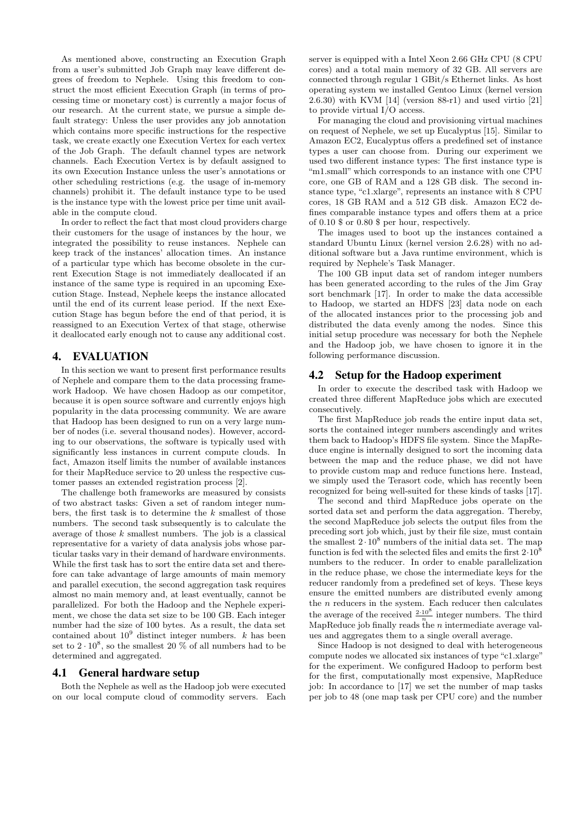As mentioned above, constructing an Execution Graph from a user's submitted Job Graph may leave different degrees of freedom to Nephele. Using this freedom to construct the most efficient Execution Graph (in terms of processing time or monetary cost) is currently a major focus of our research. At the current state, we pursue a simple default strategy: Unless the user provides any job annotation which contains more specific instructions for the respective task, we create exactly one Execution Vertex for each vertex of the Job Graph. The default channel types are network channels. Each Execution Vertex is by default assigned to its own Execution Instance unless the user's annotations or other scheduling restrictions (e.g. the usage of in-memory channels) prohibit it. The default instance type to be used is the instance type with the lowest price per time unit available in the compute cloud.

In order to reflect the fact that most cloud providers charge their customers for the usage of instances by the hour, we integrated the possibility to reuse instances. Nephele can keep track of the instances' allocation times. An instance of a particular type which has become obsolete in the current Execution Stage is not immediately deallocated if an instance of the same type is required in an upcoming Execution Stage. Instead, Nephele keeps the instance allocated until the end of its current lease period. If the next Execution Stage has begun before the end of that period, it is reassigned to an Execution Vertex of that stage, otherwise it deallocated early enough not to cause any additional cost.

# 4. EVALUATION

In this section we want to present first performance results of Nephele and compare them to the data processing framework Hadoop. We have chosen Hadoop as our competitor, because it is open source software and currently enjoys high popularity in the data processing community. We are aware that Hadoop has been designed to run on a very large number of nodes (i.e. several thousand nodes). However, according to our observations, the software is typically used with significantly less instances in current compute clouds. In fact, Amazon itself limits the number of available instances for their MapReduce service to 20 unless the respective customer passes an extended registration process [2].

The challenge both frameworks are measured by consists of two abstract tasks: Given a set of random integer numbers, the first task is to determine the k smallest of those numbers. The second task subsequently is to calculate the average of those  $k$  smallest numbers. The job is a classical representative for a variety of data analysis jobs whose particular tasks vary in their demand of hardware environments. While the first task has to sort the entire data set and therefore can take advantage of large amounts of main memory and parallel execution, the second aggregation task requires almost no main memory and, at least eventually, cannot be parallelized. For both the Hadoop and the Nephele experiment, we chose the data set size to be 100 GB. Each integer number had the size of 100 bytes. As a result, the data set contained about  $10^9$  distinct integer numbers. k has been set to  $2 \cdot 10^8$ , so the smallest 20 % of all numbers had to be determined and aggregated.

#### 4.1 General hardware setup

Both the Nephele as well as the Hadoop job were executed on our local compute cloud of commodity servers. Each server is equipped with a Intel Xeon 2.66 GHz CPU (8 CPU cores) and a total main memory of 32 GB. All servers are connected through regular 1 GBit/s Ethernet links. As host operating system we installed Gentoo Linux (kernel version 2.6.30) with KVM [14] (version 88-r1) and used virtio [21] to provide virtual I/O access.

For managing the cloud and provisioning virtual machines on request of Nephele, we set up Eucalyptus [15]. Similar to Amazon EC2, Eucalyptus offers a predefined set of instance types a user can choose from. During our experiment we used two different instance types: The first instance type is "m1.small" which corresponds to an instance with one CPU core, one GB of RAM and a 128 GB disk. The second instance type, "c1.xlarge", represents an instance with 8 CPU cores, 18 GB RAM and a 512 GB disk. Amazon EC2 defines comparable instance types and offers them at a price of 0.10 \$ or 0.80 \$ per hour, respectively.

The images used to boot up the instances contained a standard Ubuntu Linux (kernel version 2.6.28) with no additional software but a Java runtime environment, which is required by Nephele's Task Manager.

The 100 GB input data set of random integer numbers has been generated according to the rules of the Jim Gray sort benchmark [17]. In order to make the data accessible to Hadoop, we started an HDFS [23] data node on each of the allocated instances prior to the processing job and distributed the data evenly among the nodes. Since this initial setup procedure was necessary for both the Nephele and the Hadoop job, we have chosen to ignore it in the following performance discussion.

#### 4.2 Setup for the Hadoop experiment

In order to execute the described task with Hadoop we created three different MapReduce jobs which are executed consecutively.

The first MapReduce job reads the entire input data set, sorts the contained integer numbers ascendingly and writes them back to Hadoop's HDFS file system. Since the MapReduce engine is internally designed to sort the incoming data between the map and the reduce phase, we did not have to provide custom map and reduce functions here. Instead, we simply used the Terasort code, which has recently been recognized for being well-suited for these kinds of tasks [17].

The second and third MapReduce jobs operate on the sorted data set and perform the data aggregation. Thereby, the second MapReduce job selects the output files from the preceding sort job which, just by their file size, must contain the smallest  $2 \cdot 10^8$  numbers of the initial data set. The map function is fed with the selected files and emits the first  $2.10<sup>8</sup>$ numbers to the reducer. In order to enable parallelization in the reduce phase, we chose the intermediate keys for the reducer randomly from a predefined set of keys. These keys ensure the emitted numbers are distributed evenly among the  $n$  reducers in the system. Each reducer then calculates the average of the received  $\frac{2 \cdot 10^8}{n}$  integer numbers. The third MapReduce job finally reads the *n* intermediate average values and aggregates them to a single overall average.

Since Hadoop is not designed to deal with heterogeneous compute nodes we allocated six instances of type "c1.xlarge" for the experiment. We configured Hadoop to perform best for the first, computationally most expensive, MapReduce job: In accordance to [17] we set the number of map tasks per job to 48 (one map task per CPU core) and the number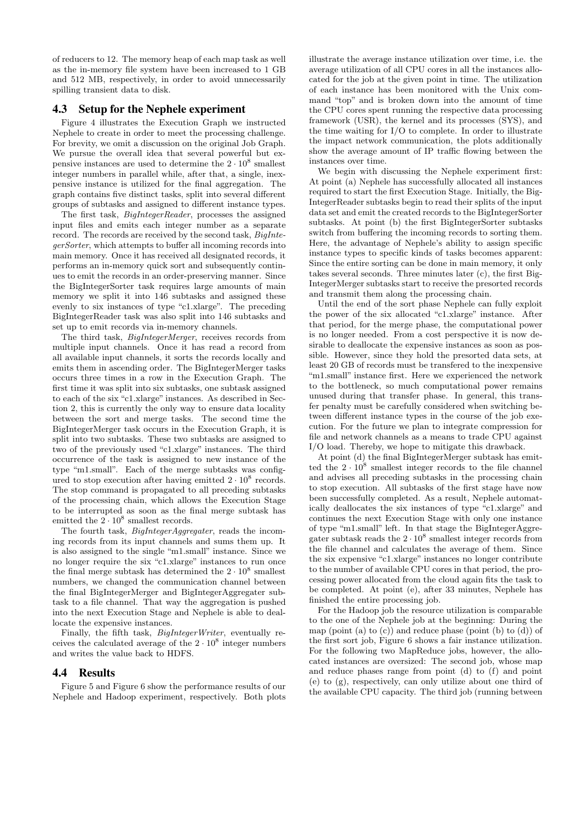of reducers to 12. The memory heap of each map task as well as the in-memory file system have been increased to 1 GB and 512 MB, respectively, in order to avoid unnecessarily spilling transient data to disk.

# 4.3 Setup for the Nephele experiment

Figure 4 illustrates the Execution Graph we instructed Nephele to create in order to meet the processing challenge. For brevity, we omit a discussion on the original Job Graph. We pursue the overall idea that several powerful but expensive instances are used to determine the  $2 \cdot 10^8$  smallest integer numbers in parallel while, after that, a single, inexpensive instance is utilized for the final aggregation. The graph contains five distinct tasks, split into several different groups of subtasks and assigned to different instance types.

The first task, BigIntegerReader, processes the assigned input files and emits each integer number as a separate record. The records are received by the second task, BigIntegerSorter, which attempts to buffer all incoming records into main memory. Once it has received all designated records, it performs an in-memory quick sort and subsequently continues to emit the records in an order-preserving manner. Since the BigIntegerSorter task requires large amounts of main memory we split it into 146 subtasks and assigned these evenly to six instances of type "c1.xlarge". The preceding BigIntegerReader task was also split into 146 subtasks and set up to emit records via in-memory channels.

The third task, *BigIntegerMerger*, receives records from multiple input channels. Once it has read a record from all available input channels, it sorts the records locally and emits them in ascending order. The BigIntegerMerger tasks occurs three times in a row in the Execution Graph. The first time it was split into six subtasks, one subtask assigned to each of the six "c1.xlarge" instances. As described in Section 2, this is currently the only way to ensure data locality between the sort and merge tasks. The second time the BigIntegerMerger task occurs in the Execution Graph, it is split into two subtasks. These two subtasks are assigned to two of the previously used "c1.xlarge" instances. The third occurrence of the task is assigned to new instance of the type "m1.small". Each of the merge subtasks was configured to stop execution after having emitted  $2 \cdot 10^8$  records. The stop command is propagated to all preceding subtasks of the processing chain, which allows the Execution Stage to be interrupted as soon as the final merge subtask has emitted the  $2 \cdot 10^8$  smallest records.

The fourth task, *BigIntegerAggregater*, reads the incoming records from its input channels and sums them up. It is also assigned to the single "m1.small" instance. Since we no longer require the six "c1.xlarge" instances to run once the final merge subtask has determined the  $2 \cdot 10^8$  smallest numbers, we changed the communication channel between the final BigIntegerMerger and BigIntegerAggregater subtask to a file channel. That way the aggregation is pushed into the next Execution Stage and Nephele is able to deallocate the expensive instances.

Finally, the fifth task, BigIntegerWriter, eventually receives the calculated average of the  $2 \cdot 10^8$  integer numbers and writes the value back to HDFS.

#### 4.4 Results

Figure 5 and Figure 6 show the performance results of our Nephele and Hadoop experiment, respectively. Both plots illustrate the average instance utilization over time, i.e. the average utilization of all CPU cores in all the instances allocated for the job at the given point in time. The utilization of each instance has been monitored with the Unix command "top" and is broken down into the amount of time the CPU cores spent running the respective data processing framework (USR), the kernel and its processes (SYS), and the time waiting for I/O to complete. In order to illustrate the impact network communication, the plots additionally show the average amount of IP traffic flowing between the instances over time.

We begin with discussing the Nephele experiment first: At point (a) Nephele has successfully allocated all instances required to start the first Execution Stage. Initially, the Big-IntegerReader subtasks begin to read their splits of the input data set and emit the created records to the BigIntegerSorter subtasks. At point (b) the first BigIntegerSorter subtasks switch from buffering the incoming records to sorting them. Here, the advantage of Nephele's ability to assign specific instance types to specific kinds of tasks becomes apparent: Since the entire sorting can be done in main memory, it only takes several seconds. Three minutes later (c), the first Big-IntegerMerger subtasks start to receive the presorted records and transmit them along the processing chain.

Until the end of the sort phase Nephele can fully exploit the power of the six allocated "c1.xlarge" instance. After that period, for the merge phase, the computational power is no longer needed. From a cost perspective it is now desirable to deallocate the expensive instances as soon as possible. However, since they hold the presorted data sets, at least 20 GB of records must be transfered to the inexpensive "m1.small" instance first. Here we experienced the network to the bottleneck, so much computational power remains unused during that transfer phase. In general, this transfer penalty must be carefully considered when switching between different instance types in the course of the job execution. For the future we plan to integrate compression for file and network channels as a means to trade CPU against I/O load. Thereby, we hope to mitigate this drawback.

At point (d) the final BigIntegerMerger subtask has emitted the  $2 \cdot 10^8$  smallest integer records to the file channel and advises all preceding subtasks in the processing chain to stop execution. All subtasks of the first stage have now been successfully completed. As a result, Nephele automatically deallocates the six instances of type "c1.xlarge" and continues the next Execution Stage with only one instance of type "m1.small" left. In that stage the BigIntegerAggregater subtask reads the  $2 \cdot 10^8$  smallest integer records from the file channel and calculates the average of them. Since the six expensive "c1.xlarge" instances no longer contribute to the number of available CPU cores in that period, the processing power allocated from the cloud again fits the task to be completed. At point (e), after 33 minutes, Nephele has finished the entire processing job.

For the Hadoop job the resource utilization is comparable to the one of the Nephele job at the beginning: During the map (point (a) to  $(c)$ ) and reduce phase (point  $(b)$  to  $(d)$ ) of the first sort job, Figure 6 shows a fair instance utilization. For the following two MapReduce jobs, however, the allocated instances are oversized: The second job, whose map and reduce phases range from point (d) to (f) and point (e) to (g), respectively, can only utilize about one third of the available CPU capacity. The third job (running between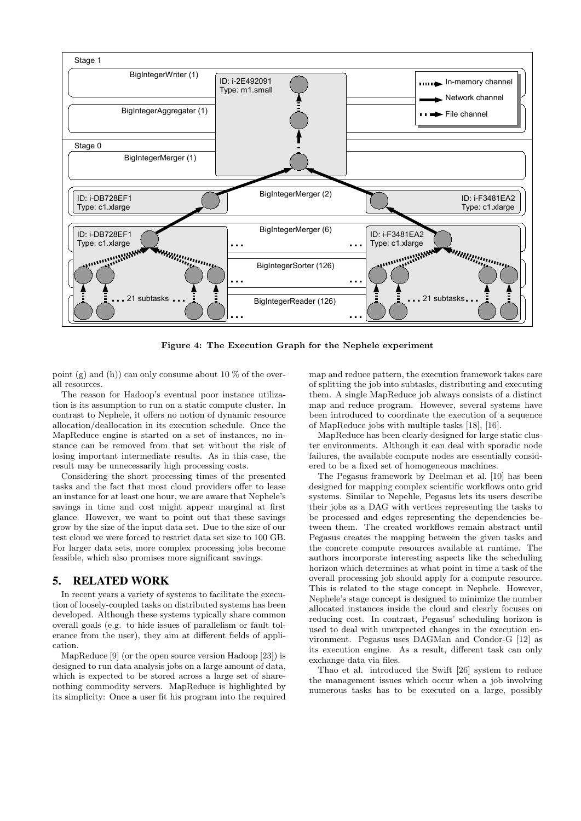

Figure 4: The Execution Graph for the Nephele experiment

point  $(g)$  and  $(h)$  can only consume about 10 % of the overall resources.

The reason for Hadoop's eventual poor instance utilization is its assumption to run on a static compute cluster. In contrast to Nephele, it offers no notion of dynamic resource allocation/deallocation in its execution schedule. Once the MapReduce engine is started on a set of instances, no instance can be removed from that set without the risk of losing important intermediate results. As in this case, the result may be unnecessarily high processing costs.

Considering the short processing times of the presented tasks and the fact that most cloud providers offer to lease an instance for at least one hour, we are aware that Nephele's savings in time and cost might appear marginal at first glance. However, we want to point out that these savings grow by the size of the input data set. Due to the size of our test cloud we were forced to restrict data set size to 100 GB. For larger data sets, more complex processing jobs become feasible, which also promises more significant savings.

# 5. RELATED WORK

In recent years a variety of systems to facilitate the execution of loosely-coupled tasks on distributed systems has been developed. Although these systems typically share common overall goals (e.g. to hide issues of parallelism or fault tolerance from the user), they aim at different fields of application.

MapReduce [9] (or the open source version Hadoop [23]) is designed to run data analysis jobs on a large amount of data, which is expected to be stored across a large set of sharenothing commodity servers. MapReduce is highlighted by its simplicity: Once a user fit his program into the required

map and reduce pattern, the execution framework takes care of splitting the job into subtasks, distributing and executing them. A single MapReduce job always consists of a distinct map and reduce program. However, several systems have been introduced to coordinate the execution of a sequence of MapReduce jobs with multiple tasks [18], [16].

MapReduce has been clearly designed for large static cluster environments. Although it can deal with sporadic node failures, the available compute nodes are essentially considered to be a fixed set of homogeneous machines.

The Pegasus framework by Deelman et al. [10] has been designed for mapping complex scientific workflows onto grid systems. Similar to Nepehle, Pegasus lets its users describe their jobs as a DAG with vertices representing the tasks to be processed and edges representing the dependencies between them. The created workflows remain abstract until Pegasus creates the mapping between the given tasks and the concrete compute resources available at runtime. The authors incorporate interesting aspects like the scheduling horizon which determines at what point in time a task of the overall processing job should apply for a compute resource. This is related to the stage concept in Nephele. However, Nephele's stage concept is designed to minimize the number allocated instances inside the cloud and clearly focuses on reducing cost. In contrast, Pegasus' scheduling horizon is used to deal with unexpected changes in the execution environment. Pegasus uses DAGMan and Condor-G [12] as its execution engine. As a result, different task can only exchange data via files.

Thao et al. introduced the Swift [26] system to reduce the management issues which occur when a job involving numerous tasks has to be executed on a large, possibly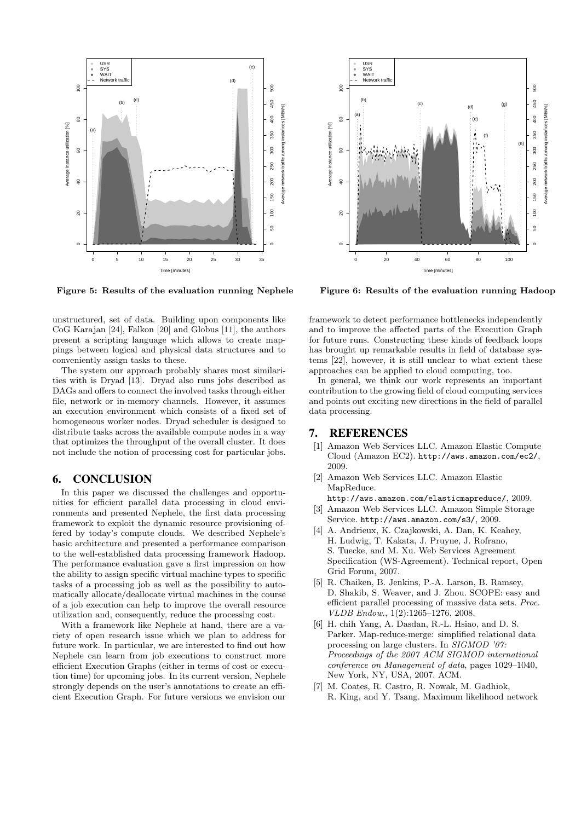



Figure 5: Results of the evaluation running Nephele

unstructured, set of data. Building upon components like CoG Karajan [24], Falkon [20] and Globus [11], the authors present a scripting language which allows to create mappings between logical and physical data structures and to conveniently assign tasks to these.

The system our approach probably shares most similarities with is Dryad [13]. Dryad also runs jobs described as DAGs and offers to connect the involved tasks through either file, network or in-memory channels. However, it assumes an execution environment which consists of a fixed set of homogeneous worker nodes. Dryad scheduler is designed to distribute tasks across the available compute nodes in a way that optimizes the throughput of the overall cluster. It does not include the notion of processing cost for particular jobs.

## 6. CONCLUSION

In this paper we discussed the challenges and opportunities for efficient parallel data processing in cloud environments and presented Nephele, the first data processing framework to exploit the dynamic resource provisioning offered by today's compute clouds. We described Nephele's basic architecture and presented a performance comparison to the well-established data processing framework Hadoop. The performance evaluation gave a first impression on how the ability to assign specific virtual machine types to specific tasks of a processing job as well as the possibility to automatically allocate/deallocate virtual machines in the course of a job execution can help to improve the overall resource utilization and, consequently, reduce the processing cost.

With a framework like Nephele at hand, there are a variety of open research issue which we plan to address for future work. In particular, we are interested to find out how Nephele can learn from job executions to construct more efficient Execution Graphs (either in terms of cost or execution time) for upcoming jobs. In its current version, Nephele strongly depends on the user's annotations to create an efficient Execution Graph. For future versions we envision our

Figure 6: Results of the evaluation running Hadoop

framework to detect performance bottlenecks independently and to improve the affected parts of the Execution Graph for future runs. Constructing these kinds of feedback loops has brought up remarkable results in field of database systems [22], however, it is still unclear to what extent these approaches can be applied to cloud computing, too.

In general, we think our work represents an important contribution to the growing field of cloud computing services and points out exciting new directions in the field of parallel data processing.

#### 7. REFERENCES

- [1] Amazon Web Services LLC. Amazon Elastic Compute Cloud (Amazon EC2). http://aws.amazon.com/ec2/, 2009.
- [2] Amazon Web Services LLC. Amazon Elastic MapReduce.
- http://aws.amazon.com/elasticmapreduce/, 2009. [3] Amazon Web Services LLC. Amazon Simple Storage
- Service. http://aws.amazon.com/s3/, 2009.
- [4] A. Andrieux, K. Czajkowski, A. Dan, K. Keahey, H. Ludwig, T. Kakata, J. Pruyne, J. Rofrano, S. Tuecke, and M. Xu. Web Services Agreement Specification (WS-Agreement). Technical report, Open Grid Forum, 2007.
- [5] R. Chaiken, B. Jenkins, P.-A. Larson, B. Ramsey, D. Shakib, S. Weaver, and J. Zhou. SCOPE: easy and efficient parallel processing of massive data sets. Proc. VLDB Endow., 1(2):1265–1276, 2008.
- [6] H. chih Yang, A. Dasdan, R.-L. Hsiao, and D. S. Parker. Map-reduce-merge: simplified relational data processing on large clusters. In SIGMOD '07: Proceedings of the 2007 ACM SIGMOD international conference on Management of data, pages 1029–1040, New York, NY, USA, 2007. ACM.
- [7] M. Coates, R. Castro, R. Nowak, M. Gadhiok, R. King, and Y. Tsang. Maximum likelihood network